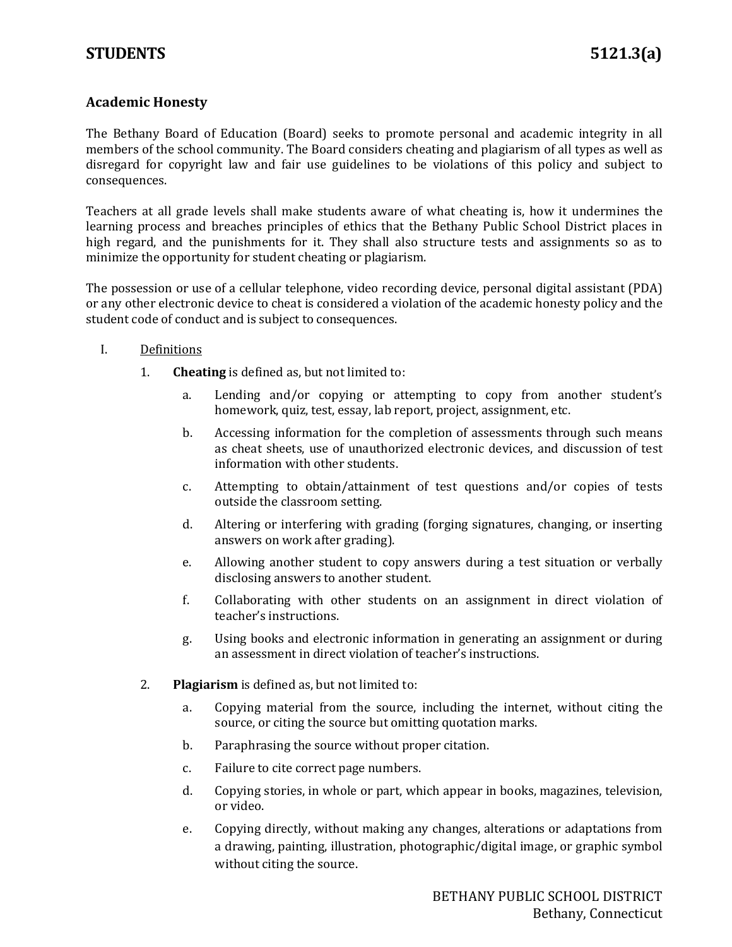## **Academic Honesty**

The Bethany Board of Education (Board) seeks to promote personal and academic integrity in all members of the school community. The Board considers cheating and plagiarism of all types as well as disregard for copyright law and fair use guidelines to be violations of this policy and subject to consequences.

Teachers at all grade levels shall make students aware of what cheating is, how it undermines the learning process and breaches principles of ethics that the Bethany Public School District places in high regard, and the punishments for it. They shall also structure tests and assignments so as to minimize the opportunity for student cheating or plagiarism.

The possession or use of a cellular telephone, video recording device, personal digital assistant (PDA) or any other electronic device to cheat is considered a violation of the academic honesty policy and the student code of conduct and is subject to consequences.

## I. Definitions

- 1. **Cheating** is defined as, but not limited to:
	- a. Lending and/or copying or attempting to copy from another student's homework, quiz, test, essay, lab report, project, assignment, etc.
	- b. Accessing information for the completion of assessments through such means as cheat sheets, use of unauthorized electronic devices, and discussion of test information with other students.
	- c. Attempting to obtain/attainment of test questions and/or copies of tests outside the classroom setting.
	- d. Altering or interfering with grading (forging signatures, changing, or inserting answers on work after grading).
	- e. Allowing another student to copy answers during a test situation or verbally disclosing answers to another student.
	- f. Collaborating with other students on an assignment in direct violation of teacher's instructions.
	- g. Using books and electronic information in generating an assignment or during an assessment in direct violation of teacher's instructions.
- 2. **Plagiarism** is defined as, but not limited to:
	- a. Copying material from the source, including the internet, without citing the source, or citing the source but omitting quotation marks.
	- b. Paraphrasing the source without proper citation.
	- c. Failure to cite correct page numbers.
	- d. Copying stories, in whole or part, which appear in books, magazines, television, or video.
	- e. Copying directly, without making any changes, alterations or adaptations from a drawing, painting, illustration, photographic/digital image, or graphic symbol without citing the source.